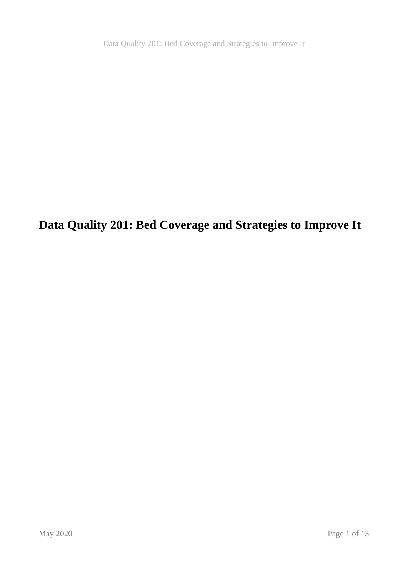Data Quality 201: Bed Coverage and Strategies to Improve It

**Data Quality 201: Bed Coverage and Strategies to Improve It**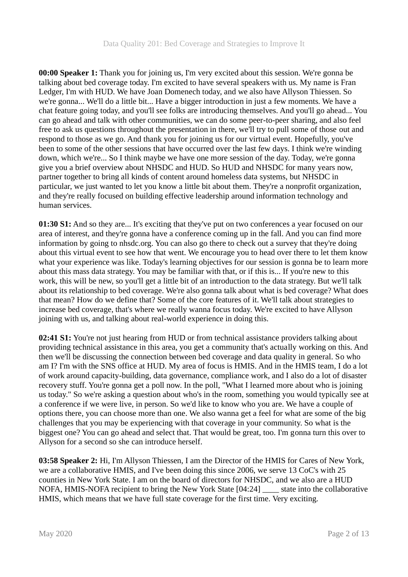**00:00 Speaker 1:** Thank you for joining us, I'm very excited about this session. We're gonna be talking about bed coverage today. I'm excited to have several speakers with us. My name is Fran Ledger, I'm with HUD. We have Joan Domenech today, and we also have Allyson Thiessen. So we're gonna... We'll do a little bit... Have a bigger introduction in just a few moments. We have a chat feature going today, and you'll see folks are introducing themselves. And you'll go ahead... You can go ahead and talk with other communities, we can do some peer-to-peer sharing, and also feel free to ask us questions throughout the presentation in there, we'll try to pull some of those out and respond to those as we go. And thank you for joining us for our virtual event. Hopefully, you've been to some of the other sessions that have occurred over the last few days. I think we're winding down, which we're... So I think maybe we have one more session of the day. Today, we're gonna give you a brief overview about NHSDC and HUD. So HUD and NHSDC for many years now, partner together to bring all kinds of content around homeless data systems, but NHSDC in particular, we just wanted to let you know a little bit about them. They're a nonprofit organization, and they're really focused on building effective leadership around information technology and human services.

**01:30 S1:** And so they are... It's exciting that they've put on two conferences a year focused on our area of interest, and they're gonna have a conference coming up in the fall. And you can find more information by going to nhsdc.org. You can also go there to check out a survey that they're doing about this virtual event to see how that went. We encourage you to head over there to let them know what your experience was like. Today's learning objectives for our session is gonna be to learn more about this mass data strategy. You may be familiar with that, or if this is... If you're new to this work, this will be new, so you'll get a little bit of an introduction to the data strategy. But we'll talk about its relationship to bed coverage. We're also gonna talk about what is bed coverage? What does that mean? How do we define that? Some of the core features of it. We'll talk about strategies to increase bed coverage, that's where we really wanna focus today. We're excited to have Allyson joining with us, and talking about real-world experience in doing this.

**02:41 S1:** You're not just hearing from HUD or from technical assistance providers talking about providing technical assistance in this area, you get a community that's actually working on this. And then we'll be discussing the connection between bed coverage and data quality in general. So who am I? I'm with the SNS office at HUD. My area of focus is HMIS. And in the HMIS team, I do a lot of work around capacity-building, data governance, compliance work, and I also do a lot of disaster recovery stuff. You're gonna get a poll now. In the poll, "What I learned more about who is joining us today." So we're asking a question about who's in the room, something you would typically see at a conference if we were live, in person. So we'd like to know who you are. We have a couple of options there, you can choose more than one. We also wanna get a feel for what are some of the big challenges that you may be experiencing with that coverage in your community. So what is the biggest one? You can go ahead and select that. That would be great, too. I'm gonna turn this over to Allyson for a second so she can introduce herself.

**03:58 Speaker 2:** Hi, I'm Allyson Thiessen, I am the Director of the HMIS for Cares of New York, we are a collaborative HMIS, and I've been doing this since 2006, we serve 13 CoC's with 25 counties in New York State. I am on the board of directors for NHSDC, and we also are a HUD NOFA, HMIS-NOFA recipient to bring the New York State [04:24] \_\_\_\_ state into the collaborative HMIS, which means that we have full state coverage for the first time. Very exciting.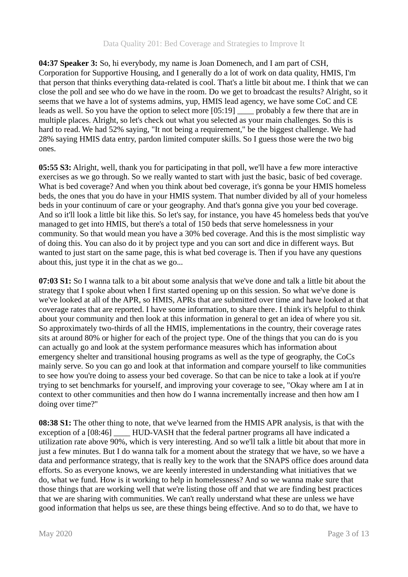**04:37 Speaker 3:** So, hi everybody, my name is Joan Domenech, and I am part of CSH, Corporation for Supportive Housing, and I generally do a lot of work on data quality, HMIS, I'm that person that thinks everything data-related is cool. That's a little bit about me. I think that we can close the poll and see who do we have in the room. Do we get to broadcast the results? Alright, so it seems that we have a lot of systems admins, yup, HMIS lead agency, we have some CoC and CE leads as well. So you have the option to select more [05:19] \_\_\_\_ probably a few there that are in multiple places. Alright, so let's check out what you selected as your main challenges. So this is hard to read. We had 52% saying, "It not being a requirement," be the biggest challenge. We had 28% saying HMIS data entry, pardon limited computer skills. So I guess those were the two big ones.

**05:55 S3:** Alright, well, thank you for participating in that poll, we'll have a few more interactive exercises as we go through. So we really wanted to start with just the basic, basic of bed coverage. What is bed coverage? And when you think about bed coverage, it's gonna be your HMIS homeless beds, the ones that you do have in your HMIS system. That number divided by all of your homeless beds in your continuum of care or your geography. And that's gonna give you your bed coverage. And so it'll look a little bit like this. So let's say, for instance, you have 45 homeless beds that you've managed to get into HMIS, but there's a total of 150 beds that serve homelessness in your community. So that would mean you have a 30% bed coverage. And this is the most simplistic way of doing this. You can also do it by project type and you can sort and dice in different ways. But wanted to just start on the same page, this is what bed coverage is. Then if you have any questions about this, just type it in the chat as we go...

**07:03 S1:** So I wanna talk to a bit about some analysis that we've done and talk a little bit about the strategy that I spoke about when I first started opening up on this session. So what we've done is we've looked at all of the APR, so HMIS, APRs that are submitted over time and have looked at that coverage rates that are reported. I have some information, to share there. I think it's helpful to think about your community and then look at this information in general to get an idea of where you sit. So approximately two-thirds of all the HMIS, implementations in the country, their coverage rates sits at around 80% or higher for each of the project type. One of the things that you can do is you can actually go and look at the system performance measures which has information about emergency shelter and transitional housing programs as well as the type of geography, the CoCs mainly serve. So you can go and look at that information and compare yourself to like communities to see how you're doing to assess your bed coverage. So that can be nice to take a look at if you're trying to set benchmarks for yourself, and improving your coverage to see, "Okay where am I at in context to other communities and then how do I wanna incrementally increase and then how am I doing over time?"

**08:38 S1:** The other thing to note, that we've learned from the HMIS APR analysis, is that with the exception of a [08:46] HUD-VASH that the federal partner programs all have indicated a utilization rate above 90%, which is very interesting. And so we'll talk a little bit about that more in just a few minutes. But I do wanna talk for a moment about the strategy that we have, so we have a data and performance strategy, that is really key to the work that the SNAPS office does around data efforts. So as everyone knows, we are keenly interested in understanding what initiatives that we do, what we fund. How is it working to help in homelessness? And so we wanna make sure that those things that are working well that we're listing those off and that we are finding best practices that we are sharing with communities. We can't really understand what these are unless we have good information that helps us see, are these things being effective. And so to do that, we have to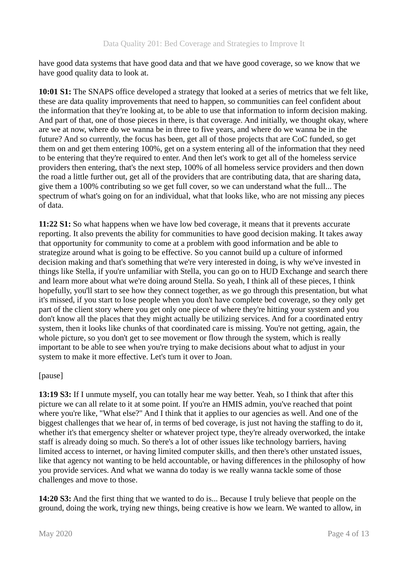have good data systems that have good data and that we have good coverage, so we know that we have good quality data to look at.

**10:01 S1:** The SNAPS office developed a strategy that looked at a series of metrics that we felt like, these are data quality improvements that need to happen, so communities can feel confident about the information that they're looking at, to be able to use that information to inform decision making. And part of that, one of those pieces in there, is that coverage. And initially, we thought okay, where are we at now, where do we wanna be in three to five years, and where do we wanna be in the future? And so currently, the focus has been, get all of those projects that are CoC funded, so get them on and get them entering 100%, get on a system entering all of the information that they need to be entering that they're required to enter. And then let's work to get all of the homeless service providers then entering, that's the next step, 100% of all homeless service providers and then down the road a little further out, get all of the providers that are contributing data, that are sharing data, give them a 100% contributing so we get full cover, so we can understand what the full... The spectrum of what's going on for an individual, what that looks like, who are not missing any pieces of data.

**11:22 S1:** So what happens when we have low bed coverage, it means that it prevents accurate reporting. It also prevents the ability for communities to have good decision making. It takes away that opportunity for community to come at a problem with good information and be able to strategize around what is going to be effective. So you cannot build up a culture of informed decision making and that's something that we're very interested in doing, is why we've invested in things like Stella, if you're unfamiliar with Stella, you can go on to HUD Exchange and search there and learn more about what we're doing around Stella. So yeah, I think all of these pieces, I think hopefully, you'll start to see how they connect together, as we go through this presentation, but what it's missed, if you start to lose people when you don't have complete bed coverage, so they only get part of the client story where you get only one piece of where they're hitting your system and you don't know all the places that they might actually be utilizing services. And for a coordinated entry system, then it looks like chunks of that coordinated care is missing. You're not getting, again, the whole picture, so you don't get to see movement or flow through the system, which is really important to be able to see when you're trying to make decisions about what to adjust in your system to make it more effective. Let's turn it over to Joan.

# [pause]

**13:19 S3:** If I unmute myself, you can totally hear me way better. Yeah, so I think that after this picture we can all relate to it at some point. If you're an HMIS admin, you've reached that point where you're like, "What else?" And I think that it applies to our agencies as well. And one of the biggest challenges that we hear of, in terms of bed coverage, is just not having the staffing to do it, whether it's that emergency shelter or whatever project type, they're already overworked, the intake staff is already doing so much. So there's a lot of other issues like technology barriers, having limited access to internet, or having limited computer skills, and then there's other unstated issues, like that agency not wanting to be held accountable, or having differences in the philosophy of how you provide services. And what we wanna do today is we really wanna tackle some of those challenges and move to those.

**14:20 S3:** And the first thing that we wanted to do is... Because I truly believe that people on the ground, doing the work, trying new things, being creative is how we learn. We wanted to allow, in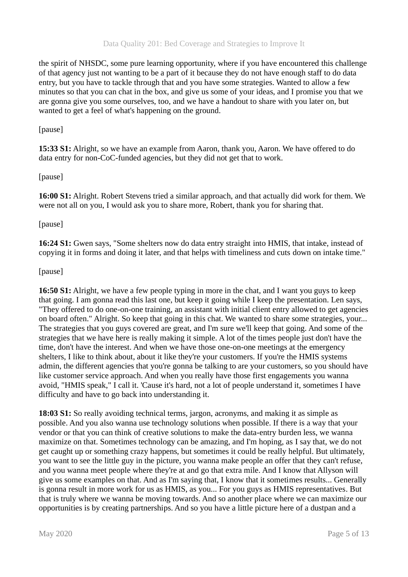the spirit of NHSDC, some pure learning opportunity, where if you have encountered this challenge of that agency just not wanting to be a part of it because they do not have enough staff to do data entry, but you have to tackle through that and you have some strategies. Wanted to allow a few minutes so that you can chat in the box, and give us some of your ideas, and I promise you that we are gonna give you some ourselves, too, and we have a handout to share with you later on, but wanted to get a feel of what's happening on the ground.

## [pause]

**15:33 S1:** Alright, so we have an example from Aaron, thank you, Aaron. We have offered to do data entry for non-CoC-funded agencies, but they did not get that to work.

### [pause]

**16:00 S1:** Alright. Robert Stevens tried a similar approach, and that actually did work for them. We were not all on you, I would ask you to share more, Robert, thank you for sharing that.

### [pause]

**16:24 S1:** Gwen says, "Some shelters now do data entry straight into HMIS, that intake, instead of copying it in forms and doing it later, and that helps with timeliness and cuts down on intake time."

### [pause]

**16:50 S1:** Alright, we have a few people typing in more in the chat, and I want you guys to keep that going. I am gonna read this last one, but keep it going while I keep the presentation. Len says, "They offered to do one-on-one training, an assistant with initial client entry allowed to get agencies on board often." Alright. So keep that going in this chat. We wanted to share some strategies, your... The strategies that you guys covered are great, and I'm sure we'll keep that going. And some of the strategies that we have here is really making it simple. A lot of the times people just don't have the time, don't have the interest. And when we have those one-on-one meetings at the emergency shelters, I like to think about, about it like they're your customers. If you're the HMIS systems admin, the different agencies that you're gonna be talking to are your customers, so you should have like customer service approach. And when you really have those first engagements you wanna avoid, "HMIS speak," I call it. 'Cause it's hard, not a lot of people understand it, sometimes I have difficulty and have to go back into understanding it.

**18:03 S1:** So really avoiding technical terms, jargon, acronyms, and making it as simple as possible. And you also wanna use technology solutions when possible. If there is a way that your vendor or that you can think of creative solutions to make the data-entry burden less, we wanna maximize on that. Sometimes technology can be amazing, and I'm hoping, as I say that, we do not get caught up or something crazy happens, but sometimes it could be really helpful. But ultimately, you want to see the little guy in the picture, you wanna make people an offer that they can't refuse, and you wanna meet people where they're at and go that extra mile. And I know that Allyson will give us some examples on that. And as I'm saying that, I know that it sometimes results... Generally is gonna result in more work for us as HMIS, as you... For you guys as HMIS representatives. But that is truly where we wanna be moving towards. And so another place where we can maximize our opportunities is by creating partnerships. And so you have a little picture here of a dustpan and a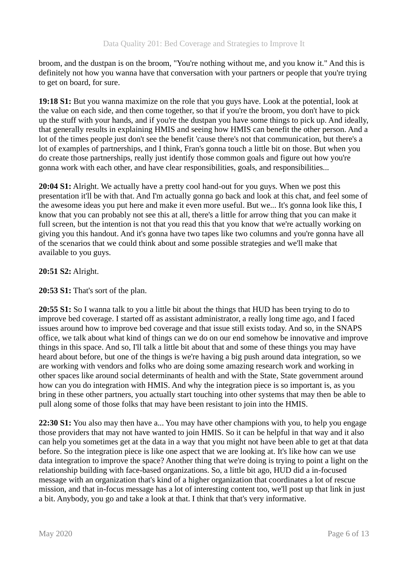broom, and the dustpan is on the broom, "You're nothing without me, and you know it." And this is definitely not how you wanna have that conversation with your partners or people that you're trying to get on board, for sure.

**19:18 S1:** But you wanna maximize on the role that you guys have. Look at the potential, look at the value on each side, and then come together, so that if you're the broom, you don't have to pick up the stuff with your hands, and if you're the dustpan you have some things to pick up. And ideally, that generally results in explaining HMIS and seeing how HMIS can benefit the other person. And a lot of the times people just don't see the benefit 'cause there's not that communication, but there's a lot of examples of partnerships, and I think, Fran's gonna touch a little bit on those. But when you do create those partnerships, really just identify those common goals and figure out how you're gonna work with each other, and have clear responsibilities, goals, and responsibilities...

**20:04 S1:** Alright. We actually have a pretty cool hand-out for you guys. When we post this presentation it'll be with that. And I'm actually gonna go back and look at this chat, and feel some of the awesome ideas you put here and make it even more useful. But we... It's gonna look like this, I know that you can probably not see this at all, there's a little for arrow thing that you can make it full screen, but the intention is not that you read this that you know that we're actually working on giving you this handout. And it's gonna have two tapes like two columns and you're gonna have all of the scenarios that we could think about and some possible strategies and we'll make that available to you guys.

# **20:51 S2:** Alright.

**20:53 S1:** That's sort of the plan.

**20:55 S1:** So I wanna talk to you a little bit about the things that HUD has been trying to do to improve bed coverage. I started off as assistant administrator, a really long time ago, and I faced issues around how to improve bed coverage and that issue still exists today. And so, in the SNAPS office, we talk about what kind of things can we do on our end somehow be innovative and improve things in this space. And so, I'll talk a little bit about that and some of these things you may have heard about before, but one of the things is we're having a big push around data integration, so we are working with vendors and folks who are doing some amazing research work and working in other spaces like around social determinants of health and with the State, State government around how can you do integration with HMIS. And why the integration piece is so important is, as you bring in these other partners, you actually start touching into other systems that may then be able to pull along some of those folks that may have been resistant to join into the HMIS.

**22:30 S1:** You also may then have a... You may have other champions with you, to help you engage those providers that may not have wanted to join HMIS. So it can be helpful in that way and it also can help you sometimes get at the data in a way that you might not have been able to get at that data before. So the integration piece is like one aspect that we are looking at. It's like how can we use data integration to improve the space? Another thing that we're doing is trying to point a light on the relationship building with face-based organizations. So, a little bit ago, HUD did a in-focused message with an organization that's kind of a higher organization that coordinates a lot of rescue mission, and that in-focus message has a lot of interesting content too, we'll post up that link in just a bit. Anybody, you go and take a look at that. I think that that's very informative.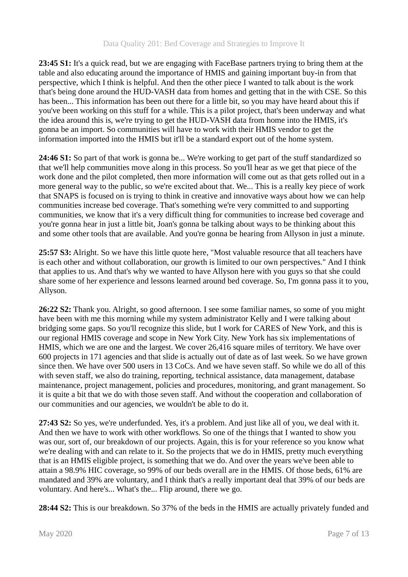**23:45 S1:** It's a quick read, but we are engaging with FaceBase partners trying to bring them at the table and also educating around the importance of HMIS and gaining important buy-in from that perspective, which I think is helpful. And then the other piece I wanted to talk about is the work that's being done around the HUD-VASH data from homes and getting that in the with CSE. So this has been... This information has been out there for a little bit, so you may have heard about this if you've been working on this stuff for a while. This is a pilot project, that's been underway and what the idea around this is, we're trying to get the HUD-VASH data from home into the HMIS, it's gonna be an import. So communities will have to work with their HMIS vendor to get the information imported into the HMIS but it'll be a standard export out of the home system.

**24:46 S1:** So part of that work is gonna be... We're working to get part of the stuff standardized so that we'll help communities move along in this process. So you'll hear as we get that piece of the work done and the pilot completed, then more information will come out as that gets rolled out in a more general way to the public, so we're excited about that. We... This is a really key piece of work that SNAPS is focused on is trying to think in creative and innovative ways about how we can help communities increase bed coverage. That's something we're very committed to and supporting communities, we know that it's a very difficult thing for communities to increase bed coverage and you're gonna hear in just a little bit, Joan's gonna be talking about ways to be thinking about this and some other tools that are available. And you're gonna be hearing from Allyson in just a minute.

**25:57 S3:** Alright. So we have this little quote here, "Most valuable resource that all teachers have is each other and without collaboration, our growth is limited to our own perspectives." And I think that applies to us. And that's why we wanted to have Allyson here with you guys so that she could share some of her experience and lessons learned around bed coverage. So, I'm gonna pass it to you, Allyson.

**26:22 S2:** Thank you. Alright, so good afternoon. I see some familiar names, so some of you might have been with me this morning while my system administrator Kelly and I were talking about bridging some gaps. So you'll recognize this slide, but I work for CARES of New York, and this is our regional HMIS coverage and scope in New York City. New York has six implementations of HMIS, which we are one and the largest. We cover 26,416 square miles of territory. We have over 600 projects in 171 agencies and that slide is actually out of date as of last week. So we have grown since then. We have over 500 users in 13 CoCs. And we have seven staff. So while we do all of this with seven staff, we also do training, reporting, technical assistance, data management, database maintenance, project management, policies and procedures, monitoring, and grant management. So it is quite a bit that we do with those seven staff. And without the cooperation and collaboration of our communities and our agencies, we wouldn't be able to do it.

**27:43 S2:** So yes, we're underfunded. Yes, it's a problem. And just like all of you, we deal with it. And then we have to work with other workflows. So one of the things that I wanted to show you was our, sort of, our breakdown of our projects. Again, this is for your reference so you know what we're dealing with and can relate to it. So the projects that we do in HMIS, pretty much everything that is an HMIS eligible project, is something that we do. And over the years we've been able to attain a 98.9% HIC coverage, so 99% of our beds overall are in the HMIS. Of those beds, 61% are mandated and 39% are voluntary, and I think that's a really important deal that 39% of our beds are voluntary. And here's... What's the... Flip around, there we go.

**28:44 S2:** This is our breakdown. So 37% of the beds in the HMIS are actually privately funded and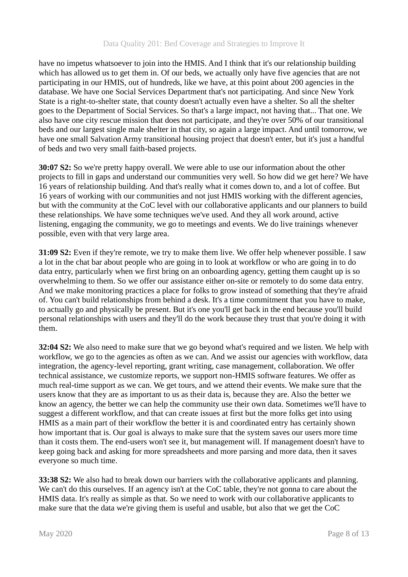have no impetus whatsoever to join into the HMIS. And I think that it's our relationship building which has allowed us to get them in. Of our beds, we actually only have five agencies that are not participating in our HMIS, out of hundreds, like we have, at this point about 200 agencies in the database. We have one Social Services Department that's not participating. And since New York State is a right-to-shelter state, that county doesn't actually even have a shelter. So all the shelter goes to the Department of Social Services. So that's a large impact, not having that... That one. We also have one city rescue mission that does not participate, and they're over 50% of our transitional beds and our largest single male shelter in that city, so again a large impact. And until tomorrow, we have one small Salvation Army transitional housing project that doesn't enter, but it's just a handful of beds and two very small faith-based projects.

**30:07 S2:** So we're pretty happy overall. We were able to use our information about the other projects to fill in gaps and understand our communities very well. So how did we get here? We have 16 years of relationship building. And that's really what it comes down to, and a lot of coffee. But 16 years of working with our communities and not just HMIS working with the different agencies, but with the community at the CoC level with our collaborative applicants and our planners to build these relationships. We have some techniques we've used. And they all work around, active listening, engaging the community, we go to meetings and events. We do live trainings whenever possible, even with that very large area.

**31:09 S2:** Even if they're remote, we try to make them live. We offer help whenever possible. I saw a lot in the chat bar about people who are going in to look at workflow or who are going in to do data entry, particularly when we first bring on an onboarding agency, getting them caught up is so overwhelming to them. So we offer our assistance either on-site or remotely to do some data entry. And we make monitoring practices a place for folks to grow instead of something that they're afraid of. You can't build relationships from behind a desk. It's a time commitment that you have to make, to actually go and physically be present. But it's one you'll get back in the end because you'll build personal relationships with users and they'll do the work because they trust that you're doing it with them.

**32:04 S2:** We also need to make sure that we go beyond what's required and we listen. We help with workflow, we go to the agencies as often as we can. And we assist our agencies with workflow, data integration, the agency-level reporting, grant writing, case management, collaboration. We offer technical assistance, we customize reports, we support non-HMIS software features. We offer as much real-time support as we can. We get tours, and we attend their events. We make sure that the users know that they are as important to us as their data is, because they are. Also the better we know an agency, the better we can help the community use their own data. Sometimes we'll have to suggest a different workflow, and that can create issues at first but the more folks get into using HMIS as a main part of their workflow the better it is and coordinated entry has certainly shown how important that is. Our goal is always to make sure that the system saves our users more time than it costs them. The end-users won't see it, but management will. If management doesn't have to keep going back and asking for more spreadsheets and more parsing and more data, then it saves everyone so much time.

**33:38 S2:** We also had to break down our barriers with the collaborative applicants and planning. We can't do this ourselves. If an agency isn't at the CoC table, they're not gonna to care about the HMIS data. It's really as simple as that. So we need to work with our collaborative applicants to make sure that the data we're giving them is useful and usable, but also that we get the CoC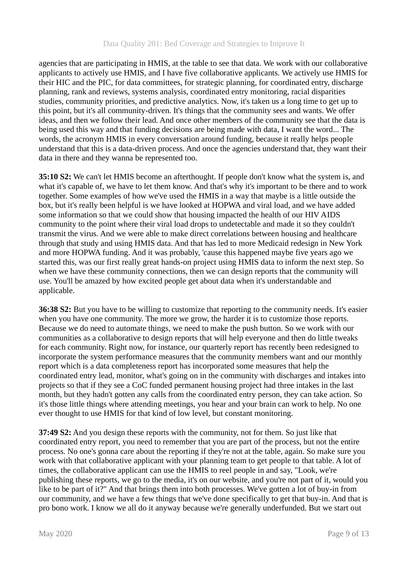agencies that are participating in HMIS, at the table to see that data. We work with our collaborative applicants to actively use HMIS, and I have five collaborative applicants. We actively use HMIS for their HIC and the PIC, for data committees, for strategic planning, for coordinated entry, discharge planning, rank and reviews, systems analysis, coordinated entry monitoring, racial disparities studies, community priorities, and predictive analytics. Now, it's taken us a long time to get up to this point, but it's all community-driven. It's things that the community sees and wants. We offer ideas, and then we follow their lead. And once other members of the community see that the data is being used this way and that funding decisions are being made with data, I want the word... The words, the acronym HMIS in every conversation around funding, because it really helps people understand that this is a data-driven process. And once the agencies understand that, they want their data in there and they wanna be represented too.

**35:10 S2:** We can't let HMIS become an afterthought. If people don't know what the system is, and what it's capable of, we have to let them know. And that's why it's important to be there and to work together. Some examples of how we've used the HMIS in a way that maybe is a little outside the box, but it's really been helpful is we have looked at HOPWA and viral load, and we have added some information so that we could show that housing impacted the health of our HIV AIDS community to the point where their viral load drops to undetectable and made it so they couldn't transmit the virus. And we were able to make direct correlations between housing and healthcare through that study and using HMIS data. And that has led to more Medicaid redesign in New York and more HOPWA funding. And it was probably, 'cause this happened maybe five years ago we started this, was our first really great hands-on project using HMIS data to inform the next step. So when we have these community connections, then we can design reports that the community will use. You'll be amazed by how excited people get about data when it's understandable and applicable.

**36:38 S2:** But you have to be willing to customize that reporting to the community needs. It's easier when you have one community. The more we grow, the harder it is to customize those reports. Because we do need to automate things, we need to make the push button. So we work with our communities as a collaborative to design reports that will help everyone and then do little tweaks for each community. Right now, for instance, our quarterly report has recently been redesigned to incorporate the system performance measures that the community members want and our monthly report which is a data completeness report has incorporated some measures that help the coordinated entry lead, monitor, what's going on in the community with discharges and intakes into projects so that if they see a CoC funded permanent housing project had three intakes in the last month, but they hadn't gotten any calls from the coordinated entry person, they can take action. So it's those little things where attending meetings, you hear and your brain can work to help. No one ever thought to use HMIS for that kind of low level, but constant monitoring.

**37:49 S2:** And you design these reports with the community, not for them. So just like that coordinated entry report, you need to remember that you are part of the process, but not the entire process. No one's gonna care about the reporting if they're not at the table, again. So make sure you work with that collaborative applicant with your planning team to get people to that table. A lot of times, the collaborative applicant can use the HMIS to reel people in and say, "Look, we're publishing these reports, we go to the media, it's on our website, and you're not part of it, would you like to be part of it?" And that brings them into both processes. We've gotten a lot of buy-in from our community, and we have a few things that we've done specifically to get that buy-in. And that is pro bono work. I know we all do it anyway because we're generally underfunded. But we start out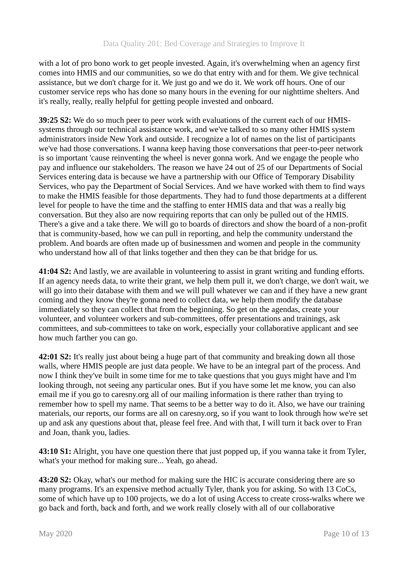with a lot of pro bono work to get people invested. Again, it's overwhelming when an agency first comes into HMIS and our communities, so we do that entry with and for them. We give technical assistance, but we don't charge for it. We just go and we do it. We work off hours. One of our customer service reps who has done so many hours in the evening for our nighttime shelters. And it's really, really, really helpful for getting people invested and onboard.

**39:25 S2:** We do so much peer to peer work with evaluations of the current each of our HMISsystems through our technical assistance work, and we've talked to so many other HMIS system administrators inside New York and outside. I recognize a lot of names on the list of participants we've had those conversations. I wanna keep having those conversations that peer-to-peer network is so important 'cause reinventing the wheel is never gonna work. And we engage the people who pay and influence our stakeholders. The reason we have 24 out of 25 of our Departments of Social Services entering data is because we have a partnership with our Office of Temporary Disability Services, who pay the Department of Social Services. And we have worked with them to find ways to make the HMIS feasible for those departments. They had to fund those departments at a different level for people to have the time and the staffing to enter HMIS data and that was a really big conversation. But they also are now requiring reports that can only be pulled out of the HMIS. There's a give and a take there. We will go to boards of directors and show the board of a non-profit that is community-based, how we can pull in reporting, and help the community understand the problem. And boards are often made up of businessmen and women and people in the community who understand how all of that links together and then they can be that bridge for us.

**41:04 S2:** And lastly, we are available in volunteering to assist in grant writing and funding efforts. If an agency needs data, to write their grant, we help them pull it, we don't charge, we don't wait, we will go into their database with them and we will pull whatever we can and if they have a new grant coming and they know they're gonna need to collect data, we help them modify the database immediately so they can collect that from the beginning. So get on the agendas, create your volunteer, and volunteer workers and sub-committees, offer presentations and trainings, ask committees, and sub-committees to take on work, especially your collaborative applicant and see how much farther you can go.

**42:01 S2:** It's really just about being a huge part of that community and breaking down all those walls, where HMIS people are just data people. We have to be an integral part of the process. And now I think they've built in some time for me to take questions that you guys might have and I'm looking through, not seeing any particular ones. But if you have some let me know, you can also email me if you go to caresny.org all of our mailing information is there rather than trying to remember how to spell my name. That seems to be a better way to do it. Also, we have our training materials, our reports, our forms are all on caresny.org, so if you want to look through how we're set up and ask any questions about that, please feel free. And with that, I will turn it back over to Fran and Joan, thank you, ladies.

**43:10 S1:** Alright, you have one question there that just popped up, if you wanna take it from Tyler, what's your method for making sure... Yeah, go ahead.

**43:20 S2:** Okay, what's our method for making sure the HIC is accurate considering there are so many programs. It's an expensive method actually Tyler, thank you for asking. So with 13 CoCs, some of which have up to 100 projects, we do a lot of using Access to create cross-walks where we go back and forth, back and forth, and we work really closely with all of our collaborative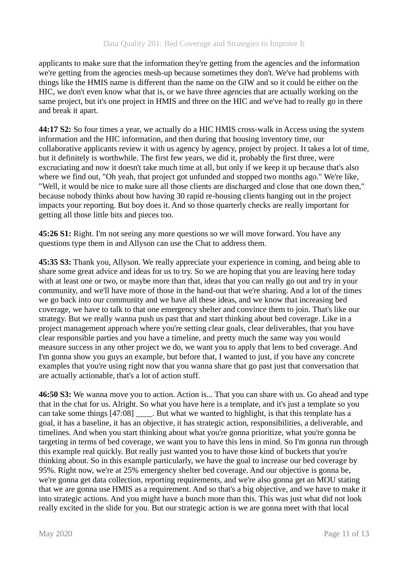applicants to make sure that the information they're getting from the agencies and the information we're getting from the agencies mesh-up because sometimes they don't. We've had problems with things like the HMIS name is different than the name on the GIW and so it could be either on the HIC, we don't even know what that is, or we have three agencies that are actually working on the same project, but it's one project in HMIS and three on the HIC and we've had to really go in there and break it apart.

**44:17 S2:** So four times a year, we actually do a HIC HMIS cross-walk in Access using the system information and the HIC information, and then during that housing inventory time, our collaborative applicants review it with us agency by agency, project by project. It takes a lot of time, but it definitely is worthwhile. The first few years, we did it, probably the first three, were excruciating and now it doesn't take much time at all, but only if we keep it up because that's also where we find out, "Oh yeah, that project got unfunded and stopped two months ago." We're like, "Well, it would be nice to make sure all those clients are discharged and close that one down then," because nobody thinks about how having 30 rapid re-housing clients hanging out in the project impacts your reporting. But boy does it. And so those quarterly checks are really important for getting all those little bits and pieces too.

**45:26 S1:** Right. I'm not seeing any more questions so we will move forward. You have any questions type them in and Allyson can use the Chat to address them.

**45:35 S3:** Thank you, Allyson. We really appreciate your experience in coming, and being able to share some great advice and ideas for us to try. So we are hoping that you are leaving here today with at least one or two, or maybe more than that, ideas that you can really go out and try in your community, and we'll have more of those in the hand-out that we're sharing. And a lot of the times we go back into our community and we have all these ideas, and we know that increasing bed coverage, we have to talk to that one emergency shelter and convince them to join. That's like our strategy. But we really wanna push us past that and start thinking about bed coverage. Like in a project management approach where you're setting clear goals, clear deliverables, that you have clear responsible parties and you have a timeline, and pretty much the same way you would measure success in any other project we do, we want you to apply that lens to bed coverage. And I'm gonna show you guys an example, but before that, I wanted to just, if you have any concrete examples that you're using right now that you wanna share that go past just that conversation that are actually actionable, that's a lot of action stuff.

**46:50 S3:** We wanna move you to action. Action is... That you can share with us. Go ahead and type that in the chat for us. Alright. So what you have here is a template, and it's just a template so you can take some things [47:08] \_\_\_\_. But what we wanted to highlight, is that this template has a goal, it has a baseline, it has an objective, it has strategic action, responsibilities, a deliverable, and timelines. And when you start thinking about what you're gonna prioritize, what you're gonna be targeting in terms of bed coverage, we want you to have this lens in mind. So I'm gonna run through this example real quickly. But really just wanted you to have those kind of buckets that you're thinking about. So in this example particularly, we have the goal to increase our bed coverage by 95%. Right now, we're at 25% emergency shelter bed coverage. And our objective is gonna be, we're gonna get data collection, reporting requirements, and we're also gonna get an MOU stating that we are gonna use HMIS as a requirement. And so that's a big objective, and we have to make it into strategic actions. And you might have a bunch more than this. This was just what did not look really excited in the slide for you. But our strategic action is we are gonna meet with that local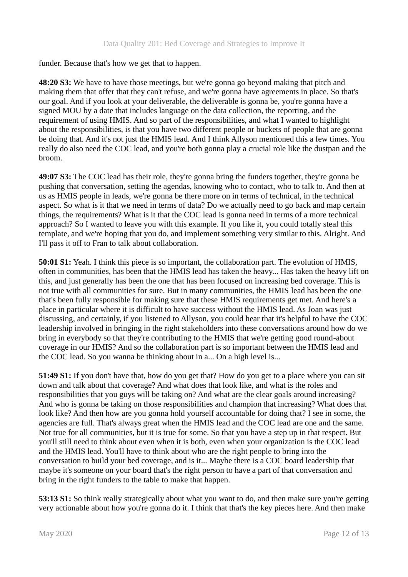funder. Because that's how we get that to happen.

**48:20 S3:** We have to have those meetings, but we're gonna go beyond making that pitch and making them that offer that they can't refuse, and we're gonna have agreements in place. So that's our goal. And if you look at your deliverable, the deliverable is gonna be, you're gonna have a signed MOU by a date that includes language on the data collection, the reporting, and the requirement of using HMIS. And so part of the responsibilities, and what I wanted to highlight about the responsibilities, is that you have two different people or buckets of people that are gonna be doing that. And it's not just the HMIS lead. And I think Allyson mentioned this a few times. You really do also need the COC lead, and you're both gonna play a crucial role like the dustpan and the broom.

**49:07 S3:** The COC lead has their role, they're gonna bring the funders together, they're gonna be pushing that conversation, setting the agendas, knowing who to contact, who to talk to. And then at us as HMIS people in leads, we're gonna be there more on in terms of technical, in the technical aspect. So what is it that we need in terms of data? Do we actually need to go back and map certain things, the requirements? What is it that the COC lead is gonna need in terms of a more technical approach? So I wanted to leave you with this example. If you like it, you could totally steal this template, and we're hoping that you do, and implement something very similar to this. Alright. And I'll pass it off to Fran to talk about collaboration.

**50:01 S1:** Yeah. I think this piece is so important, the collaboration part. The evolution of HMIS, often in communities, has been that the HMIS lead has taken the heavy... Has taken the heavy lift on this, and just generally has been the one that has been focused on increasing bed coverage. This is not true with all communities for sure. But in many communities, the HMIS lead has been the one that's been fully responsible for making sure that these HMIS requirements get met. And here's a place in particular where it is difficult to have success without the HMIS lead. As Joan was just discussing, and certainly, if you listened to Allyson, you could hear that it's helpful to have the COC leadership involved in bringing in the right stakeholders into these conversations around how do we bring in everybody so that they're contributing to the HMIS that we're getting good round-about coverage in our HMIS? And so the collaboration part is so important between the HMIS lead and the COC lead. So you wanna be thinking about in a... On a high level is...

**51:49 S1:** If you don't have that, how do you get that? How do you get to a place where you can sit down and talk about that coverage? And what does that look like, and what is the roles and responsibilities that you guys will be taking on? And what are the clear goals around increasing? And who is gonna be taking on those responsibilities and champion that increasing? What does that look like? And then how are you gonna hold yourself accountable for doing that? I see in some, the agencies are full. That's always great when the HMIS lead and the COC lead are one and the same. Not true for all communities, but it is true for some. So that you have a step up in that respect. But you'll still need to think about even when it is both, even when your organization is the COC lead and the HMIS lead. You'll have to think about who are the right people to bring into the conversation to build your bed coverage, and is it... Maybe there is a COC board leadership that maybe it's someone on your board that's the right person to have a part of that conversation and bring in the right funders to the table to make that happen.

**53:13 S1:** So think really strategically about what you want to do, and then make sure you're getting very actionable about how you're gonna do it. I think that that's the key pieces here. And then make